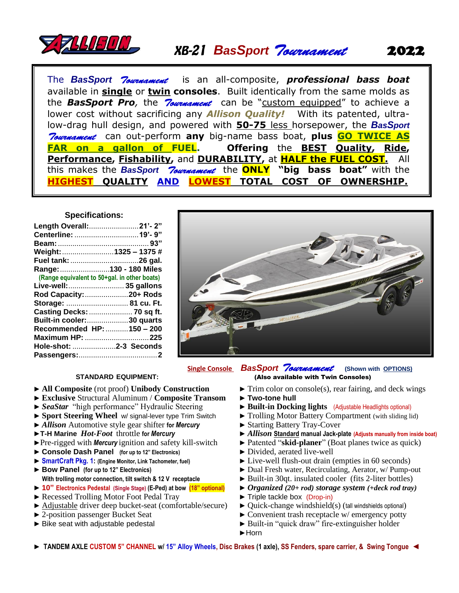

# *BasSport*

The *BasSport* is an all-composite, *professional bass boat*  available in **single** or **twin consoles**. Built identically from the same molds as the **BasSport Pro**, the *Roumannent* can be "custom equipped" to achieve a lower cost without sacrificing any *Allison Quality!* With its patented, ultralow-drag hull design, and powered with **50-75** less horsepower, the *BasSport Tournament* can out-perform any big-name bass boat, plus **GO TWICE AS FAR on a gallon of FUEL. Offering** the **BEST Quality, Ride, Performance, Fishability,** and **DURABILITY,** at **HALF the FUEL COST.** All this makes the *BasSport* the **ONLY "big bass boat"** with the **HIGHEST QUALITY AND LOWEST TOTAL COST OF OWNERSHIP.**

### **Specifications:**

| Length Overall:21'-2"                        |  |
|----------------------------------------------|--|
|                                              |  |
|                                              |  |
| Weight: 1325 - 1375 #                        |  |
|                                              |  |
| Range: 130 - 180 Miles                       |  |
| (Range equivalent to 50+gal. in other boats) |  |
| Live-well:  35 gallons                       |  |
| Rod Capacity: 20+ Rods                       |  |
| Storage:  81 cu. Ft.                         |  |
| Casting Decks:  70 sq ft.                    |  |
| <b>Built-in cooler:30 quarts</b>             |  |
| Recommended HP: 150 - 200                    |  |
| Maximum HP: 225                              |  |
| Hole-shot: 2-3 Seconds                       |  |
|                                              |  |
|                                              |  |



## **Single Console** *BasSport* **(Shown with OPTIONS)**

### **STANDARD EQUIPMENT:** (Also available with Twin Consoles)

- ► **All Composite** (rot proof) **Unibody Construction ►** Trim color on console(s), rear fairing, and deck wings
- ► **Exclusive** Structural Aluminum / **Composite Transom** ► **Two-tone hull**
- ► *SeaStar* "high performance" Hydraulic Steering ► **► Built-in Docking lights** (Adjustable Headlights optional)
- 
- ► *Allison* Automotive style gear shifter **for** *Mercury* ► Starting Battery Tray-Cover
- 
- 
- ► Console Dash Panel (for up to 12" Electronics) ► Divided, aerated live-well
- 
- ► **Bow Panel (for up to 12" Electronics) With trolling motor connection, tilt switch & 12 V receptacle**
- ► **10" Electronics Pedestal (Single Stage) (E-Ped) at bow (18" optional)** ► *Organized (20+ rod) storage system (+deck rod tray)*
- ► Recessed Trolling Motor Foot Pedal Tray ► Triple tackle box (Drop-in)
- ► Adjustable driver deep bucket-seat (comfortable/secure) ► Quick-change windshield(s) (tall windshields optional)
- 
- 
- 
- 
- 
- ► **Sport Steering Wheel** w/ signal-lever type Trim Switch ► Trolling Motor Battery Compartment (with sliding lid)
	-
- ►**T-H Marine** *Hot-Foot* throttle **for** *Mercury* ► *Allison* **Standard manual Jack-plate (Adjusts manually from inside boat)**
- ►Pre-rigged with *Mercury* ignition and safety kill-switch ► Patented "**skid-planer**" (Boat planes twice as quick)
	-
- ► **SmartCraft Pkg. 1: (Engine Monitor, Link Tachometer, fuel)** ► Live-well flush-out drain (empties in 60 seconds)
	- ► Dual Fresh water, Recirculating, Aerator, w/ Pump-out
	- ► Built-in 30qt. insulated cooler (fits 2-liter bottles)
	-
	-
	-
- ► 2-position passenger Bucket Seat ► Convenient trash receptacle w/ emergency potty
- ► Bike seat with adjustable pedestal → → Built-in "quick draw" fire-extinguisher holder
	- ►Horn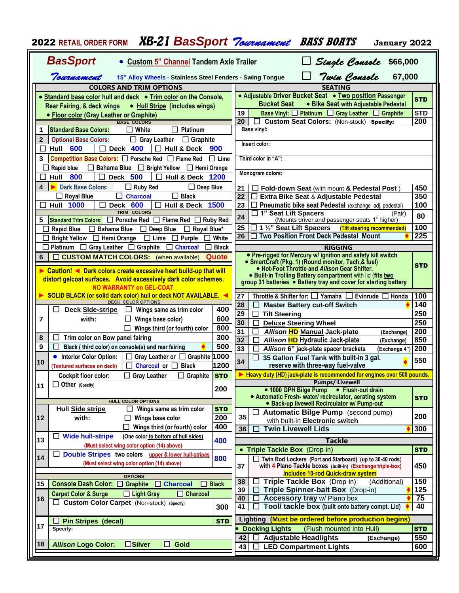| <b>BasSport</b><br>Single Console \$66,000<br>• Custom 5" Channel Tandem Axle Trailer<br>Twin Console<br>Tournament<br>67,000<br>15" Alloy Wheels - Stainless Steel Fenders - Swing Tongue<br><b>COLORS AND TRIM OPTIONS</b><br><b>SEATING</b><br>• Adjustable Driver Bucket Seat • Two position Passenger<br>Standard base color hull and deck . Trim color on the Console,<br><b>STD</b><br><b>Bucket Seat</b><br>• Bike Seat with Adjustable Pedestal<br><b>Rear Fairing, &amp; deck wings</b><br>• Hull Stripe (includes wings)<br><b>STD</b><br>Base Vinyl: $\Box$ Platinum $\Box$ Gray Leather $\Box$ Graphite<br>19<br>• Floor color (Gray Leather or Graphite)<br>20<br>200<br>Custom Seat Colors: (Non-stock) Specify:<br><b>BASE COLORS</b><br><b>Standard Base Colors:</b><br><b>Base vinyl:</b><br>$\Box$ White<br>Platinum<br>1<br>$\perp$<br>$\overline{2}$<br>$\Box$ Gray Leather<br>$\Box$ Graphite<br><b>Optional Base Colors:</b><br>Insert color:<br>$\Box$ Deck 400<br>600<br><b>Hull &amp; Deck</b><br>Hull<br>$\mathsf{L}$<br>900<br>$\mathsf{L}$<br>Third color in "A":<br>3<br><b>Competition Base Colors:</b> $\Box$ Porsche Red $\Box$ Flame Red<br>$\Box$ Lime<br>Bahama Blue □ Bright Yellow<br>$\Box$ Hemi Orange<br>ΙI<br>Rapid blue<br>⊔<br>Monogram colors:<br><b>Hull 800</b><br><b>Deck 500</b><br><b>Hull &amp; Deck 1200</b><br>П<br>$\Box$<br>LΙ<br>$\Box$ Deep Blue<br><b>Dark Base Colors:</b><br>$\Box$ Ruby Red<br>450<br>21<br>Fold-down Seat (with mount & Pedestal Post)<br>$\Box$ Black<br>$\Box$ Charcoal<br>$\Box$ Royal Blue<br>$\overline{22}$<br>350<br>Extra Bike Seat & Adjustable Pedestal<br>ப<br>100<br>23<br>Pneumatic bike seat Pedestal (exchange adj. pedestal)<br><b>Hull 1000</b><br>$\Box$<br>Deck 600<br>П<br><b>Hull &amp; Deck 1500</b><br>TRIM COLORS<br>1" Seat Lift Spacers<br>ப<br>(Pair)<br>80<br>24<br><b>Standard Trim Colors:</b> $\Box$ Porsche Red $\Box$ Flame Red $\Box$ Ruby Red<br>(Mounts driver and passenger seats 1" higher)<br>5<br>□ 1 ½" Seat Lift Spacers<br>100<br>25<br>(Tilt steering recommended)<br><b>Rapid Blue</b><br>$\Box$ Bahama Blue $\Box$ Deep Blue<br>$\Box$ Royal Blue*<br>26 □ Two Position Front Deck Pedestal Mount<br>$\overline{225}$<br>Bright Yellow □ Hemi Orange □ Lime □ Purple<br>White<br>Platinum $\Box$ Gray Leather $\Box$ Graphite<br>$\Box$ Charcoal<br>$\Box$ Black<br><b>RIGGING</b><br>• Pre-rigged for Mercury w/ ignition and safety kill switch<br>$\Box$ CUSTOM MATCH COLORS: (when available)<br>Quote<br>6<br>• SmartCraft (Pkg. 1) (Round monitor, Tach, & fuel)<br><b>STD</b><br>• Hot-Foot Throttle and Allison Gear Shifter.<br>Caution! ◀ Dark colors create excessive heat build-up that will<br>• Built-in Trolling Battery compartment with lid (fits two<br>distort gelcoat surfaces. Avoid excessively dark color schemes.<br>group 31 batteries . Battery tray and cover for starting battery<br>NO WARRANTY on GEL-COAT<br>SOLID BLACK (or solid dark color) hull or deck NOT AVAILABLE. <<br>Throttle & Shifter for: □ Yamaha □<br>100<br>27<br>Evinrude $\Box$ Honda<br><b>DECK COLOR OPTIONS</b><br>140<br>28<br><b>Master Battery cut-off Switch</b><br>400<br><b>Deck Side-stripe</b><br>Wings same as trim color<br>⊔<br>⊔<br>29<br>250<br>$\Box$<br><b>Tilt Steering</b><br>600<br>7<br>with:<br>Wings base color)<br>30<br>250<br><b>Deluxe Steering Wheel</b><br>800<br>Wings third (or fourth) color<br>31<br>200<br>Allison HD Manual Jack-plate<br>(Exchange)<br>300<br>Trim color on Bow panel fairing<br>8<br>⊔<br>32<br>Allison HD Hydraulic Jack-plate<br>850<br>(Exchange)<br>500<br>9<br>Black (third color) on console(s) and rear fairing<br>LI<br>33<br>200<br>Allison 6" jack-plate spacer brackets<br>(Exchange 4")<br>$\Box$ Gray Leather or $\Box$ Graphite 1000<br>• Interior Color Option:<br>35 Gallon Fuel Tank with built-in 3 gal.<br>550<br>34<br>10<br>1200<br>reserve with three-way fuel-valve<br>$\Box$ Charcoal or $\Box$ Black<br>(Textured surfaces on deck)<br>Heavy duty (HD) jack-plate is recommended for engines over 500 pounds.<br><b>Cockpit floor color:</b><br><b>Grav Leather</b><br>Graphite STD<br><b>Pumps/ Livewell</b><br>$\Box$ Other (Specify)<br>11<br>200<br>• 1000 GPH Bilge Pump . Flush-out drain<br>• Automatic Fresh- water/ recirculator, aerating system<br><b>STD</b><br><b>HULL COLOR OPTIONS</b><br>· Back-up livewell Recirculator w/ Pump-out<br><b>Hull Side stripe</b><br>Wings same as trim color<br><b>STD</b><br>$\Box$<br><b>Automatic Bilge Pump</b> (second pump)<br>200<br>35<br>200<br>12<br>with:<br>Wings base color<br>ப<br>with built-in Electronic switch<br>400<br>Wings third (or fourth) color<br><b>Twin Livewell Lids</b><br>300<br>36<br><b>Wide hull-stripe</b><br>(One color to bottom of hull sides)<br>ப<br>13<br>400<br>Tackle<br>(Must select wing color option (14) above)<br>• Triple Tackle Box (Drop-in)<br><b>STD</b><br>Double Stripes two colors upper & lower hull-stripes<br>ப<br>14<br>800<br>Twin Rod Lockers (Port and Starboard) (up to 30-40 rods)<br>(Must select wing color option (14) above)<br>37<br>with 4 Plano Tackle boxes (built in) (Exchange triple-box)<br>450<br><b>Includes 10-rod Quick-draw system</b><br><b>OPTIONS</b><br>150<br>38<br>Triple Tackle Box (Drop-in)<br>(Additional)<br>Console Dash Color: □ Graphite<br>$\Box$ Charcoal<br>15<br><b>Black</b><br>U<br>125<br>Triple Spinner-bait Box (Drop-in)<br>39<br>$\Box$ Charcoal<br><b>Carpet Color &amp; Surge</b><br>$\Box$ Light Gray<br>75<br>40<br>Accessory tray w/ Plano box<br>16<br>□ Custom Color Carpet (Non-stock) (Specify)<br>Tool/ tackle box (built onto battery compt. Lid)<br>40<br>300<br>41<br>Lighting (Must be ordered before production begins)<br><b>Pin Stripes (decal)</b><br><b>STD</b><br>17<br><b>Docking Lights</b><br>(Flush mounted into Hull)<br><b>STD</b><br>Specify:<br>550<br><b>Adjustable Headlights</b><br>42<br>(Exchange)<br>$\square$ Silver<br>18<br><b>Allison Logo Color:</b><br>П<br><b>Gold</b><br><b>LED Compartment Lights</b><br>600<br>43 | <b>2022 RETAIL ORDER FORM</b> | XB-21 BasSport <i>Tournament</i> BASS BOATS<br>January 2022 |  |
|--------------------------------------------------------------------------------------------------------------------------------------------------------------------------------------------------------------------------------------------------------------------------------------------------------------------------------------------------------------------------------------------------------------------------------------------------------------------------------------------------------------------------------------------------------------------------------------------------------------------------------------------------------------------------------------------------------------------------------------------------------------------------------------------------------------------------------------------------------------------------------------------------------------------------------------------------------------------------------------------------------------------------------------------------------------------------------------------------------------------------------------------------------------------------------------------------------------------------------------------------------------------------------------------------------------------------------------------------------------------------------------------------------------------------------------------------------------------------------------------------------------------------------------------------------------------------------------------------------------------------------------------------------------------------------------------------------------------------------------------------------------------------------------------------------------------------------------------------------------------------------------------------------------------------------------------------------------------------------------------------------------------------------------------------------------------------------------------------------------------------------------------------------------------------------------------------------------------------------------------------------------------------------------------------------------------------------------------------------------------------------------------------------------------------------------------------------------------------------------------------------------------------------------------------------------------------------------------------------------------------------------------------------------------------------------------------------------------------------------------------------------------------------------------------------------------------------------------------------------------------------------------------------------------------------------------------------------------------------------------------------------------------------------------------------------------------------------------------------------------------------------------------------------------------------------------------------------------------------------------------------------------------------------------------------------------------------------------------------------------------------------------------------------------------------------------------------------------------------------------------------------------------------------------------------------------------------------------------------------------------------------------------------------------------------------------------------------------------------------------------------------------------------------------------------------------------------------------------------------------------------------------------------------------------------------------------------------------------------------------------------------------------------------------------------------------------------------------------------------------------------------------------------------------------------------------------------------------------------------------------------------------------------------------------------------------------------------------------------------------------------------------------------------------------------------------------------------------------------------------------------------------------------------------------------------------------------------------------------------------------------------------------------------------------------------------------------------------------------------------------------------------------------------------------------------------------------------------------------------------------------------------------------------------------------------------------------------------------------------------------------------------------------------------------------------------------------------------------------------------------------------------------------------------------------------------------------------------------------------------------------------------------------------------------------------------------------------------------------------------------------------------------------------------------------------------------------------------------------------------------------------------------------------------------------------------------------------------------------------------------------------------------------------------------------------------------------------------------------------------------------------------------------------------------------------------------------------------------------------------------------------------------------------------------------------------------------------------------------------------------------------------------------------------------------------------------------------------------------------------------------------|-------------------------------|-------------------------------------------------------------|--|
|                                                                                                                                                                                                                                                                                                                                                                                                                                                                                                                                                                                                                                                                                                                                                                                                                                                                                                                                                                                                                                                                                                                                                                                                                                                                                                                                                                                                                                                                                                                                                                                                                                                                                                                                                                                                                                                                                                                                                                                                                                                                                                                                                                                                                                                                                                                                                                                                                                                                                                                                                                                                                                                                                                                                                                                                                                                                                                                                                                                                                                                                                                                                                                                                                                                                                                                                                                                                                                                                                                                                                                                                                                                                                                                                                                                                                                                                                                                                                                                                                                                                                                                                                                                                                                                                                                                                                                                                                                                                                                                                                                                                                                                                                                                                                                                                                                                                                                                                                                                                                                                                                                                                                                                                                                                                                                                                                                                                                                                                                                                                                                                                                                                                                                                                                                                                                                                                                                                                                                                                                                                                                                                                      |                               |                                                             |  |
|                                                                                                                                                                                                                                                                                                                                                                                                                                                                                                                                                                                                                                                                                                                                                                                                                                                                                                                                                                                                                                                                                                                                                                                                                                                                                                                                                                                                                                                                                                                                                                                                                                                                                                                                                                                                                                                                                                                                                                                                                                                                                                                                                                                                                                                                                                                                                                                                                                                                                                                                                                                                                                                                                                                                                                                                                                                                                                                                                                                                                                                                                                                                                                                                                                                                                                                                                                                                                                                                                                                                                                                                                                                                                                                                                                                                                                                                                                                                                                                                                                                                                                                                                                                                                                                                                                                                                                                                                                                                                                                                                                                                                                                                                                                                                                                                                                                                                                                                                                                                                                                                                                                                                                                                                                                                                                                                                                                                                                                                                                                                                                                                                                                                                                                                                                                                                                                                                                                                                                                                                                                                                                                                      |                               |                                                             |  |
|                                                                                                                                                                                                                                                                                                                                                                                                                                                                                                                                                                                                                                                                                                                                                                                                                                                                                                                                                                                                                                                                                                                                                                                                                                                                                                                                                                                                                                                                                                                                                                                                                                                                                                                                                                                                                                                                                                                                                                                                                                                                                                                                                                                                                                                                                                                                                                                                                                                                                                                                                                                                                                                                                                                                                                                                                                                                                                                                                                                                                                                                                                                                                                                                                                                                                                                                                                                                                                                                                                                                                                                                                                                                                                                                                                                                                                                                                                                                                                                                                                                                                                                                                                                                                                                                                                                                                                                                                                                                                                                                                                                                                                                                                                                                                                                                                                                                                                                                                                                                                                                                                                                                                                                                                                                                                                                                                                                                                                                                                                                                                                                                                                                                                                                                                                                                                                                                                                                                                                                                                                                                                                                                      |                               |                                                             |  |
|                                                                                                                                                                                                                                                                                                                                                                                                                                                                                                                                                                                                                                                                                                                                                                                                                                                                                                                                                                                                                                                                                                                                                                                                                                                                                                                                                                                                                                                                                                                                                                                                                                                                                                                                                                                                                                                                                                                                                                                                                                                                                                                                                                                                                                                                                                                                                                                                                                                                                                                                                                                                                                                                                                                                                                                                                                                                                                                                                                                                                                                                                                                                                                                                                                                                                                                                                                                                                                                                                                                                                                                                                                                                                                                                                                                                                                                                                                                                                                                                                                                                                                                                                                                                                                                                                                                                                                                                                                                                                                                                                                                                                                                                                                                                                                                                                                                                                                                                                                                                                                                                                                                                                                                                                                                                                                                                                                                                                                                                                                                                                                                                                                                                                                                                                                                                                                                                                                                                                                                                                                                                                                                                      |                               |                                                             |  |
|                                                                                                                                                                                                                                                                                                                                                                                                                                                                                                                                                                                                                                                                                                                                                                                                                                                                                                                                                                                                                                                                                                                                                                                                                                                                                                                                                                                                                                                                                                                                                                                                                                                                                                                                                                                                                                                                                                                                                                                                                                                                                                                                                                                                                                                                                                                                                                                                                                                                                                                                                                                                                                                                                                                                                                                                                                                                                                                                                                                                                                                                                                                                                                                                                                                                                                                                                                                                                                                                                                                                                                                                                                                                                                                                                                                                                                                                                                                                                                                                                                                                                                                                                                                                                                                                                                                                                                                                                                                                                                                                                                                                                                                                                                                                                                                                                                                                                                                                                                                                                                                                                                                                                                                                                                                                                                                                                                                                                                                                                                                                                                                                                                                                                                                                                                                                                                                                                                                                                                                                                                                                                                                                      |                               |                                                             |  |
|                                                                                                                                                                                                                                                                                                                                                                                                                                                                                                                                                                                                                                                                                                                                                                                                                                                                                                                                                                                                                                                                                                                                                                                                                                                                                                                                                                                                                                                                                                                                                                                                                                                                                                                                                                                                                                                                                                                                                                                                                                                                                                                                                                                                                                                                                                                                                                                                                                                                                                                                                                                                                                                                                                                                                                                                                                                                                                                                                                                                                                                                                                                                                                                                                                                                                                                                                                                                                                                                                                                                                                                                                                                                                                                                                                                                                                                                                                                                                                                                                                                                                                                                                                                                                                                                                                                                                                                                                                                                                                                                                                                                                                                                                                                                                                                                                                                                                                                                                                                                                                                                                                                                                                                                                                                                                                                                                                                                                                                                                                                                                                                                                                                                                                                                                                                                                                                                                                                                                                                                                                                                                                                                      |                               |                                                             |  |
|                                                                                                                                                                                                                                                                                                                                                                                                                                                                                                                                                                                                                                                                                                                                                                                                                                                                                                                                                                                                                                                                                                                                                                                                                                                                                                                                                                                                                                                                                                                                                                                                                                                                                                                                                                                                                                                                                                                                                                                                                                                                                                                                                                                                                                                                                                                                                                                                                                                                                                                                                                                                                                                                                                                                                                                                                                                                                                                                                                                                                                                                                                                                                                                                                                                                                                                                                                                                                                                                                                                                                                                                                                                                                                                                                                                                                                                                                                                                                                                                                                                                                                                                                                                                                                                                                                                                                                                                                                                                                                                                                                                                                                                                                                                                                                                                                                                                                                                                                                                                                                                                                                                                                                                                                                                                                                                                                                                                                                                                                                                                                                                                                                                                                                                                                                                                                                                                                                                                                                                                                                                                                                                                      |                               |                                                             |  |
|                                                                                                                                                                                                                                                                                                                                                                                                                                                                                                                                                                                                                                                                                                                                                                                                                                                                                                                                                                                                                                                                                                                                                                                                                                                                                                                                                                                                                                                                                                                                                                                                                                                                                                                                                                                                                                                                                                                                                                                                                                                                                                                                                                                                                                                                                                                                                                                                                                                                                                                                                                                                                                                                                                                                                                                                                                                                                                                                                                                                                                                                                                                                                                                                                                                                                                                                                                                                                                                                                                                                                                                                                                                                                                                                                                                                                                                                                                                                                                                                                                                                                                                                                                                                                                                                                                                                                                                                                                                                                                                                                                                                                                                                                                                                                                                                                                                                                                                                                                                                                                                                                                                                                                                                                                                                                                                                                                                                                                                                                                                                                                                                                                                                                                                                                                                                                                                                                                                                                                                                                                                                                                                                      |                               |                                                             |  |
|                                                                                                                                                                                                                                                                                                                                                                                                                                                                                                                                                                                                                                                                                                                                                                                                                                                                                                                                                                                                                                                                                                                                                                                                                                                                                                                                                                                                                                                                                                                                                                                                                                                                                                                                                                                                                                                                                                                                                                                                                                                                                                                                                                                                                                                                                                                                                                                                                                                                                                                                                                                                                                                                                                                                                                                                                                                                                                                                                                                                                                                                                                                                                                                                                                                                                                                                                                                                                                                                                                                                                                                                                                                                                                                                                                                                                                                                                                                                                                                                                                                                                                                                                                                                                                                                                                                                                                                                                                                                                                                                                                                                                                                                                                                                                                                                                                                                                                                                                                                                                                                                                                                                                                                                                                                                                                                                                                                                                                                                                                                                                                                                                                                                                                                                                                                                                                                                                                                                                                                                                                                                                                                                      |                               |                                                             |  |
|                                                                                                                                                                                                                                                                                                                                                                                                                                                                                                                                                                                                                                                                                                                                                                                                                                                                                                                                                                                                                                                                                                                                                                                                                                                                                                                                                                                                                                                                                                                                                                                                                                                                                                                                                                                                                                                                                                                                                                                                                                                                                                                                                                                                                                                                                                                                                                                                                                                                                                                                                                                                                                                                                                                                                                                                                                                                                                                                                                                                                                                                                                                                                                                                                                                                                                                                                                                                                                                                                                                                                                                                                                                                                                                                                                                                                                                                                                                                                                                                                                                                                                                                                                                                                                                                                                                                                                                                                                                                                                                                                                                                                                                                                                                                                                                                                                                                                                                                                                                                                                                                                                                                                                                                                                                                                                                                                                                                                                                                                                                                                                                                                                                                                                                                                                                                                                                                                                                                                                                                                                                                                                                                      |                               |                                                             |  |
|                                                                                                                                                                                                                                                                                                                                                                                                                                                                                                                                                                                                                                                                                                                                                                                                                                                                                                                                                                                                                                                                                                                                                                                                                                                                                                                                                                                                                                                                                                                                                                                                                                                                                                                                                                                                                                                                                                                                                                                                                                                                                                                                                                                                                                                                                                                                                                                                                                                                                                                                                                                                                                                                                                                                                                                                                                                                                                                                                                                                                                                                                                                                                                                                                                                                                                                                                                                                                                                                                                                                                                                                                                                                                                                                                                                                                                                                                                                                                                                                                                                                                                                                                                                                                                                                                                                                                                                                                                                                                                                                                                                                                                                                                                                                                                                                                                                                                                                                                                                                                                                                                                                                                                                                                                                                                                                                                                                                                                                                                                                                                                                                                                                                                                                                                                                                                                                                                                                                                                                                                                                                                                                                      |                               |                                                             |  |
|                                                                                                                                                                                                                                                                                                                                                                                                                                                                                                                                                                                                                                                                                                                                                                                                                                                                                                                                                                                                                                                                                                                                                                                                                                                                                                                                                                                                                                                                                                                                                                                                                                                                                                                                                                                                                                                                                                                                                                                                                                                                                                                                                                                                                                                                                                                                                                                                                                                                                                                                                                                                                                                                                                                                                                                                                                                                                                                                                                                                                                                                                                                                                                                                                                                                                                                                                                                                                                                                                                                                                                                                                                                                                                                                                                                                                                                                                                                                                                                                                                                                                                                                                                                                                                                                                                                                                                                                                                                                                                                                                                                                                                                                                                                                                                                                                                                                                                                                                                                                                                                                                                                                                                                                                                                                                                                                                                                                                                                                                                                                                                                                                                                                                                                                                                                                                                                                                                                                                                                                                                                                                                                                      |                               |                                                             |  |
|                                                                                                                                                                                                                                                                                                                                                                                                                                                                                                                                                                                                                                                                                                                                                                                                                                                                                                                                                                                                                                                                                                                                                                                                                                                                                                                                                                                                                                                                                                                                                                                                                                                                                                                                                                                                                                                                                                                                                                                                                                                                                                                                                                                                                                                                                                                                                                                                                                                                                                                                                                                                                                                                                                                                                                                                                                                                                                                                                                                                                                                                                                                                                                                                                                                                                                                                                                                                                                                                                                                                                                                                                                                                                                                                                                                                                                                                                                                                                                                                                                                                                                                                                                                                                                                                                                                                                                                                                                                                                                                                                                                                                                                                                                                                                                                                                                                                                                                                                                                                                                                                                                                                                                                                                                                                                                                                                                                                                                                                                                                                                                                                                                                                                                                                                                                                                                                                                                                                                                                                                                                                                                                                      |                               |                                                             |  |
|                                                                                                                                                                                                                                                                                                                                                                                                                                                                                                                                                                                                                                                                                                                                                                                                                                                                                                                                                                                                                                                                                                                                                                                                                                                                                                                                                                                                                                                                                                                                                                                                                                                                                                                                                                                                                                                                                                                                                                                                                                                                                                                                                                                                                                                                                                                                                                                                                                                                                                                                                                                                                                                                                                                                                                                                                                                                                                                                                                                                                                                                                                                                                                                                                                                                                                                                                                                                                                                                                                                                                                                                                                                                                                                                                                                                                                                                                                                                                                                                                                                                                                                                                                                                                                                                                                                                                                                                                                                                                                                                                                                                                                                                                                                                                                                                                                                                                                                                                                                                                                                                                                                                                                                                                                                                                                                                                                                                                                                                                                                                                                                                                                                                                                                                                                                                                                                                                                                                                                                                                                                                                                                                      |                               |                                                             |  |
|                                                                                                                                                                                                                                                                                                                                                                                                                                                                                                                                                                                                                                                                                                                                                                                                                                                                                                                                                                                                                                                                                                                                                                                                                                                                                                                                                                                                                                                                                                                                                                                                                                                                                                                                                                                                                                                                                                                                                                                                                                                                                                                                                                                                                                                                                                                                                                                                                                                                                                                                                                                                                                                                                                                                                                                                                                                                                                                                                                                                                                                                                                                                                                                                                                                                                                                                                                                                                                                                                                                                                                                                                                                                                                                                                                                                                                                                                                                                                                                                                                                                                                                                                                                                                                                                                                                                                                                                                                                                                                                                                                                                                                                                                                                                                                                                                                                                                                                                                                                                                                                                                                                                                                                                                                                                                                                                                                                                                                                                                                                                                                                                                                                                                                                                                                                                                                                                                                                                                                                                                                                                                                                                      |                               |                                                             |  |
|                                                                                                                                                                                                                                                                                                                                                                                                                                                                                                                                                                                                                                                                                                                                                                                                                                                                                                                                                                                                                                                                                                                                                                                                                                                                                                                                                                                                                                                                                                                                                                                                                                                                                                                                                                                                                                                                                                                                                                                                                                                                                                                                                                                                                                                                                                                                                                                                                                                                                                                                                                                                                                                                                                                                                                                                                                                                                                                                                                                                                                                                                                                                                                                                                                                                                                                                                                                                                                                                                                                                                                                                                                                                                                                                                                                                                                                                                                                                                                                                                                                                                                                                                                                                                                                                                                                                                                                                                                                                                                                                                                                                                                                                                                                                                                                                                                                                                                                                                                                                                                                                                                                                                                                                                                                                                                                                                                                                                                                                                                                                                                                                                                                                                                                                                                                                                                                                                                                                                                                                                                                                                                                                      |                               |                                                             |  |
|                                                                                                                                                                                                                                                                                                                                                                                                                                                                                                                                                                                                                                                                                                                                                                                                                                                                                                                                                                                                                                                                                                                                                                                                                                                                                                                                                                                                                                                                                                                                                                                                                                                                                                                                                                                                                                                                                                                                                                                                                                                                                                                                                                                                                                                                                                                                                                                                                                                                                                                                                                                                                                                                                                                                                                                                                                                                                                                                                                                                                                                                                                                                                                                                                                                                                                                                                                                                                                                                                                                                                                                                                                                                                                                                                                                                                                                                                                                                                                                                                                                                                                                                                                                                                                                                                                                                                                                                                                                                                                                                                                                                                                                                                                                                                                                                                                                                                                                                                                                                                                                                                                                                                                                                                                                                                                                                                                                                                                                                                                                                                                                                                                                                                                                                                                                                                                                                                                                                                                                                                                                                                                                                      |                               |                                                             |  |
|                                                                                                                                                                                                                                                                                                                                                                                                                                                                                                                                                                                                                                                                                                                                                                                                                                                                                                                                                                                                                                                                                                                                                                                                                                                                                                                                                                                                                                                                                                                                                                                                                                                                                                                                                                                                                                                                                                                                                                                                                                                                                                                                                                                                                                                                                                                                                                                                                                                                                                                                                                                                                                                                                                                                                                                                                                                                                                                                                                                                                                                                                                                                                                                                                                                                                                                                                                                                                                                                                                                                                                                                                                                                                                                                                                                                                                                                                                                                                                                                                                                                                                                                                                                                                                                                                                                                                                                                                                                                                                                                                                                                                                                                                                                                                                                                                                                                                                                                                                                                                                                                                                                                                                                                                                                                                                                                                                                                                                                                                                                                                                                                                                                                                                                                                                                                                                                                                                                                                                                                                                                                                                                                      |                               |                                                             |  |
|                                                                                                                                                                                                                                                                                                                                                                                                                                                                                                                                                                                                                                                                                                                                                                                                                                                                                                                                                                                                                                                                                                                                                                                                                                                                                                                                                                                                                                                                                                                                                                                                                                                                                                                                                                                                                                                                                                                                                                                                                                                                                                                                                                                                                                                                                                                                                                                                                                                                                                                                                                                                                                                                                                                                                                                                                                                                                                                                                                                                                                                                                                                                                                                                                                                                                                                                                                                                                                                                                                                                                                                                                                                                                                                                                                                                                                                                                                                                                                                                                                                                                                                                                                                                                                                                                                                                                                                                                                                                                                                                                                                                                                                                                                                                                                                                                                                                                                                                                                                                                                                                                                                                                                                                                                                                                                                                                                                                                                                                                                                                                                                                                                                                                                                                                                                                                                                                                                                                                                                                                                                                                                                                      |                               |                                                             |  |
|                                                                                                                                                                                                                                                                                                                                                                                                                                                                                                                                                                                                                                                                                                                                                                                                                                                                                                                                                                                                                                                                                                                                                                                                                                                                                                                                                                                                                                                                                                                                                                                                                                                                                                                                                                                                                                                                                                                                                                                                                                                                                                                                                                                                                                                                                                                                                                                                                                                                                                                                                                                                                                                                                                                                                                                                                                                                                                                                                                                                                                                                                                                                                                                                                                                                                                                                                                                                                                                                                                                                                                                                                                                                                                                                                                                                                                                                                                                                                                                                                                                                                                                                                                                                                                                                                                                                                                                                                                                                                                                                                                                                                                                                                                                                                                                                                                                                                                                                                                                                                                                                                                                                                                                                                                                                                                                                                                                                                                                                                                                                                                                                                                                                                                                                                                                                                                                                                                                                                                                                                                                                                                                                      |                               |                                                             |  |
|                                                                                                                                                                                                                                                                                                                                                                                                                                                                                                                                                                                                                                                                                                                                                                                                                                                                                                                                                                                                                                                                                                                                                                                                                                                                                                                                                                                                                                                                                                                                                                                                                                                                                                                                                                                                                                                                                                                                                                                                                                                                                                                                                                                                                                                                                                                                                                                                                                                                                                                                                                                                                                                                                                                                                                                                                                                                                                                                                                                                                                                                                                                                                                                                                                                                                                                                                                                                                                                                                                                                                                                                                                                                                                                                                                                                                                                                                                                                                                                                                                                                                                                                                                                                                                                                                                                                                                                                                                                                                                                                                                                                                                                                                                                                                                                                                                                                                                                                                                                                                                                                                                                                                                                                                                                                                                                                                                                                                                                                                                                                                                                                                                                                                                                                                                                                                                                                                                                                                                                                                                                                                                                                      |                               |                                                             |  |
|                                                                                                                                                                                                                                                                                                                                                                                                                                                                                                                                                                                                                                                                                                                                                                                                                                                                                                                                                                                                                                                                                                                                                                                                                                                                                                                                                                                                                                                                                                                                                                                                                                                                                                                                                                                                                                                                                                                                                                                                                                                                                                                                                                                                                                                                                                                                                                                                                                                                                                                                                                                                                                                                                                                                                                                                                                                                                                                                                                                                                                                                                                                                                                                                                                                                                                                                                                                                                                                                                                                                                                                                                                                                                                                                                                                                                                                                                                                                                                                                                                                                                                                                                                                                                                                                                                                                                                                                                                                                                                                                                                                                                                                                                                                                                                                                                                                                                                                                                                                                                                                                                                                                                                                                                                                                                                                                                                                                                                                                                                                                                                                                                                                                                                                                                                                                                                                                                                                                                                                                                                                                                                                                      |                               |                                                             |  |
|                                                                                                                                                                                                                                                                                                                                                                                                                                                                                                                                                                                                                                                                                                                                                                                                                                                                                                                                                                                                                                                                                                                                                                                                                                                                                                                                                                                                                                                                                                                                                                                                                                                                                                                                                                                                                                                                                                                                                                                                                                                                                                                                                                                                                                                                                                                                                                                                                                                                                                                                                                                                                                                                                                                                                                                                                                                                                                                                                                                                                                                                                                                                                                                                                                                                                                                                                                                                                                                                                                                                                                                                                                                                                                                                                                                                                                                                                                                                                                                                                                                                                                                                                                                                                                                                                                                                                                                                                                                                                                                                                                                                                                                                                                                                                                                                                                                                                                                                                                                                                                                                                                                                                                                                                                                                                                                                                                                                                                                                                                                                                                                                                                                                                                                                                                                                                                                                                                                                                                                                                                                                                                                                      |                               |                                                             |  |
|                                                                                                                                                                                                                                                                                                                                                                                                                                                                                                                                                                                                                                                                                                                                                                                                                                                                                                                                                                                                                                                                                                                                                                                                                                                                                                                                                                                                                                                                                                                                                                                                                                                                                                                                                                                                                                                                                                                                                                                                                                                                                                                                                                                                                                                                                                                                                                                                                                                                                                                                                                                                                                                                                                                                                                                                                                                                                                                                                                                                                                                                                                                                                                                                                                                                                                                                                                                                                                                                                                                                                                                                                                                                                                                                                                                                                                                                                                                                                                                                                                                                                                                                                                                                                                                                                                                                                                                                                                                                                                                                                                                                                                                                                                                                                                                                                                                                                                                                                                                                                                                                                                                                                                                                                                                                                                                                                                                                                                                                                                                                                                                                                                                                                                                                                                                                                                                                                                                                                                                                                                                                                                                                      |                               |                                                             |  |
|                                                                                                                                                                                                                                                                                                                                                                                                                                                                                                                                                                                                                                                                                                                                                                                                                                                                                                                                                                                                                                                                                                                                                                                                                                                                                                                                                                                                                                                                                                                                                                                                                                                                                                                                                                                                                                                                                                                                                                                                                                                                                                                                                                                                                                                                                                                                                                                                                                                                                                                                                                                                                                                                                                                                                                                                                                                                                                                                                                                                                                                                                                                                                                                                                                                                                                                                                                                                                                                                                                                                                                                                                                                                                                                                                                                                                                                                                                                                                                                                                                                                                                                                                                                                                                                                                                                                                                                                                                                                                                                                                                                                                                                                                                                                                                                                                                                                                                                                                                                                                                                                                                                                                                                                                                                                                                                                                                                                                                                                                                                                                                                                                                                                                                                                                                                                                                                                                                                                                                                                                                                                                                                                      |                               |                                                             |  |
|                                                                                                                                                                                                                                                                                                                                                                                                                                                                                                                                                                                                                                                                                                                                                                                                                                                                                                                                                                                                                                                                                                                                                                                                                                                                                                                                                                                                                                                                                                                                                                                                                                                                                                                                                                                                                                                                                                                                                                                                                                                                                                                                                                                                                                                                                                                                                                                                                                                                                                                                                                                                                                                                                                                                                                                                                                                                                                                                                                                                                                                                                                                                                                                                                                                                                                                                                                                                                                                                                                                                                                                                                                                                                                                                                                                                                                                                                                                                                                                                                                                                                                                                                                                                                                                                                                                                                                                                                                                                                                                                                                                                                                                                                                                                                                                                                                                                                                                                                                                                                                                                                                                                                                                                                                                                                                                                                                                                                                                                                                                                                                                                                                                                                                                                                                                                                                                                                                                                                                                                                                                                                                                                      |                               |                                                             |  |
|                                                                                                                                                                                                                                                                                                                                                                                                                                                                                                                                                                                                                                                                                                                                                                                                                                                                                                                                                                                                                                                                                                                                                                                                                                                                                                                                                                                                                                                                                                                                                                                                                                                                                                                                                                                                                                                                                                                                                                                                                                                                                                                                                                                                                                                                                                                                                                                                                                                                                                                                                                                                                                                                                                                                                                                                                                                                                                                                                                                                                                                                                                                                                                                                                                                                                                                                                                                                                                                                                                                                                                                                                                                                                                                                                                                                                                                                                                                                                                                                                                                                                                                                                                                                                                                                                                                                                                                                                                                                                                                                                                                                                                                                                                                                                                                                                                                                                                                                                                                                                                                                                                                                                                                                                                                                                                                                                                                                                                                                                                                                                                                                                                                                                                                                                                                                                                                                                                                                                                                                                                                                                                                                      |                               |                                                             |  |
|                                                                                                                                                                                                                                                                                                                                                                                                                                                                                                                                                                                                                                                                                                                                                                                                                                                                                                                                                                                                                                                                                                                                                                                                                                                                                                                                                                                                                                                                                                                                                                                                                                                                                                                                                                                                                                                                                                                                                                                                                                                                                                                                                                                                                                                                                                                                                                                                                                                                                                                                                                                                                                                                                                                                                                                                                                                                                                                                                                                                                                                                                                                                                                                                                                                                                                                                                                                                                                                                                                                                                                                                                                                                                                                                                                                                                                                                                                                                                                                                                                                                                                                                                                                                                                                                                                                                                                                                                                                                                                                                                                                                                                                                                                                                                                                                                                                                                                                                                                                                                                                                                                                                                                                                                                                                                                                                                                                                                                                                                                                                                                                                                                                                                                                                                                                                                                                                                                                                                                                                                                                                                                                                      |                               |                                                             |  |
|                                                                                                                                                                                                                                                                                                                                                                                                                                                                                                                                                                                                                                                                                                                                                                                                                                                                                                                                                                                                                                                                                                                                                                                                                                                                                                                                                                                                                                                                                                                                                                                                                                                                                                                                                                                                                                                                                                                                                                                                                                                                                                                                                                                                                                                                                                                                                                                                                                                                                                                                                                                                                                                                                                                                                                                                                                                                                                                                                                                                                                                                                                                                                                                                                                                                                                                                                                                                                                                                                                                                                                                                                                                                                                                                                                                                                                                                                                                                                                                                                                                                                                                                                                                                                                                                                                                                                                                                                                                                                                                                                                                                                                                                                                                                                                                                                                                                                                                                                                                                                                                                                                                                                                                                                                                                                                                                                                                                                                                                                                                                                                                                                                                                                                                                                                                                                                                                                                                                                                                                                                                                                                                                      |                               |                                                             |  |
|                                                                                                                                                                                                                                                                                                                                                                                                                                                                                                                                                                                                                                                                                                                                                                                                                                                                                                                                                                                                                                                                                                                                                                                                                                                                                                                                                                                                                                                                                                                                                                                                                                                                                                                                                                                                                                                                                                                                                                                                                                                                                                                                                                                                                                                                                                                                                                                                                                                                                                                                                                                                                                                                                                                                                                                                                                                                                                                                                                                                                                                                                                                                                                                                                                                                                                                                                                                                                                                                                                                                                                                                                                                                                                                                                                                                                                                                                                                                                                                                                                                                                                                                                                                                                                                                                                                                                                                                                                                                                                                                                                                                                                                                                                                                                                                                                                                                                                                                                                                                                                                                                                                                                                                                                                                                                                                                                                                                                                                                                                                                                                                                                                                                                                                                                                                                                                                                                                                                                                                                                                                                                                                                      |                               |                                                             |  |
|                                                                                                                                                                                                                                                                                                                                                                                                                                                                                                                                                                                                                                                                                                                                                                                                                                                                                                                                                                                                                                                                                                                                                                                                                                                                                                                                                                                                                                                                                                                                                                                                                                                                                                                                                                                                                                                                                                                                                                                                                                                                                                                                                                                                                                                                                                                                                                                                                                                                                                                                                                                                                                                                                                                                                                                                                                                                                                                                                                                                                                                                                                                                                                                                                                                                                                                                                                                                                                                                                                                                                                                                                                                                                                                                                                                                                                                                                                                                                                                                                                                                                                                                                                                                                                                                                                                                                                                                                                                                                                                                                                                                                                                                                                                                                                                                                                                                                                                                                                                                                                                                                                                                                                                                                                                                                                                                                                                                                                                                                                                                                                                                                                                                                                                                                                                                                                                                                                                                                                                                                                                                                                                                      |                               |                                                             |  |
|                                                                                                                                                                                                                                                                                                                                                                                                                                                                                                                                                                                                                                                                                                                                                                                                                                                                                                                                                                                                                                                                                                                                                                                                                                                                                                                                                                                                                                                                                                                                                                                                                                                                                                                                                                                                                                                                                                                                                                                                                                                                                                                                                                                                                                                                                                                                                                                                                                                                                                                                                                                                                                                                                                                                                                                                                                                                                                                                                                                                                                                                                                                                                                                                                                                                                                                                                                                                                                                                                                                                                                                                                                                                                                                                                                                                                                                                                                                                                                                                                                                                                                                                                                                                                                                                                                                                                                                                                                                                                                                                                                                                                                                                                                                                                                                                                                                                                                                                                                                                                                                                                                                                                                                                                                                                                                                                                                                                                                                                                                                                                                                                                                                                                                                                                                                                                                                                                                                                                                                                                                                                                                                                      |                               |                                                             |  |
|                                                                                                                                                                                                                                                                                                                                                                                                                                                                                                                                                                                                                                                                                                                                                                                                                                                                                                                                                                                                                                                                                                                                                                                                                                                                                                                                                                                                                                                                                                                                                                                                                                                                                                                                                                                                                                                                                                                                                                                                                                                                                                                                                                                                                                                                                                                                                                                                                                                                                                                                                                                                                                                                                                                                                                                                                                                                                                                                                                                                                                                                                                                                                                                                                                                                                                                                                                                                                                                                                                                                                                                                                                                                                                                                                                                                                                                                                                                                                                                                                                                                                                                                                                                                                                                                                                                                                                                                                                                                                                                                                                                                                                                                                                                                                                                                                                                                                                                                                                                                                                                                                                                                                                                                                                                                                                                                                                                                                                                                                                                                                                                                                                                                                                                                                                                                                                                                                                                                                                                                                                                                                                                                      |                               |                                                             |  |
|                                                                                                                                                                                                                                                                                                                                                                                                                                                                                                                                                                                                                                                                                                                                                                                                                                                                                                                                                                                                                                                                                                                                                                                                                                                                                                                                                                                                                                                                                                                                                                                                                                                                                                                                                                                                                                                                                                                                                                                                                                                                                                                                                                                                                                                                                                                                                                                                                                                                                                                                                                                                                                                                                                                                                                                                                                                                                                                                                                                                                                                                                                                                                                                                                                                                                                                                                                                                                                                                                                                                                                                                                                                                                                                                                                                                                                                                                                                                                                                                                                                                                                                                                                                                                                                                                                                                                                                                                                                                                                                                                                                                                                                                                                                                                                                                                                                                                                                                                                                                                                                                                                                                                                                                                                                                                                                                                                                                                                                                                                                                                                                                                                                                                                                                                                                                                                                                                                                                                                                                                                                                                                                                      |                               |                                                             |  |
|                                                                                                                                                                                                                                                                                                                                                                                                                                                                                                                                                                                                                                                                                                                                                                                                                                                                                                                                                                                                                                                                                                                                                                                                                                                                                                                                                                                                                                                                                                                                                                                                                                                                                                                                                                                                                                                                                                                                                                                                                                                                                                                                                                                                                                                                                                                                                                                                                                                                                                                                                                                                                                                                                                                                                                                                                                                                                                                                                                                                                                                                                                                                                                                                                                                                                                                                                                                                                                                                                                                                                                                                                                                                                                                                                                                                                                                                                                                                                                                                                                                                                                                                                                                                                                                                                                                                                                                                                                                                                                                                                                                                                                                                                                                                                                                                                                                                                                                                                                                                                                                                                                                                                                                                                                                                                                                                                                                                                                                                                                                                                                                                                                                                                                                                                                                                                                                                                                                                                                                                                                                                                                                                      |                               |                                                             |  |
|                                                                                                                                                                                                                                                                                                                                                                                                                                                                                                                                                                                                                                                                                                                                                                                                                                                                                                                                                                                                                                                                                                                                                                                                                                                                                                                                                                                                                                                                                                                                                                                                                                                                                                                                                                                                                                                                                                                                                                                                                                                                                                                                                                                                                                                                                                                                                                                                                                                                                                                                                                                                                                                                                                                                                                                                                                                                                                                                                                                                                                                                                                                                                                                                                                                                                                                                                                                                                                                                                                                                                                                                                                                                                                                                                                                                                                                                                                                                                                                                                                                                                                                                                                                                                                                                                                                                                                                                                                                                                                                                                                                                                                                                                                                                                                                                                                                                                                                                                                                                                                                                                                                                                                                                                                                                                                                                                                                                                                                                                                                                                                                                                                                                                                                                                                                                                                                                                                                                                                                                                                                                                                                                      |                               |                                                             |  |
|                                                                                                                                                                                                                                                                                                                                                                                                                                                                                                                                                                                                                                                                                                                                                                                                                                                                                                                                                                                                                                                                                                                                                                                                                                                                                                                                                                                                                                                                                                                                                                                                                                                                                                                                                                                                                                                                                                                                                                                                                                                                                                                                                                                                                                                                                                                                                                                                                                                                                                                                                                                                                                                                                                                                                                                                                                                                                                                                                                                                                                                                                                                                                                                                                                                                                                                                                                                                                                                                                                                                                                                                                                                                                                                                                                                                                                                                                                                                                                                                                                                                                                                                                                                                                                                                                                                                                                                                                                                                                                                                                                                                                                                                                                                                                                                                                                                                                                                                                                                                                                                                                                                                                                                                                                                                                                                                                                                                                                                                                                                                                                                                                                                                                                                                                                                                                                                                                                                                                                                                                                                                                                                                      |                               |                                                             |  |
|                                                                                                                                                                                                                                                                                                                                                                                                                                                                                                                                                                                                                                                                                                                                                                                                                                                                                                                                                                                                                                                                                                                                                                                                                                                                                                                                                                                                                                                                                                                                                                                                                                                                                                                                                                                                                                                                                                                                                                                                                                                                                                                                                                                                                                                                                                                                                                                                                                                                                                                                                                                                                                                                                                                                                                                                                                                                                                                                                                                                                                                                                                                                                                                                                                                                                                                                                                                                                                                                                                                                                                                                                                                                                                                                                                                                                                                                                                                                                                                                                                                                                                                                                                                                                                                                                                                                                                                                                                                                                                                                                                                                                                                                                                                                                                                                                                                                                                                                                                                                                                                                                                                                                                                                                                                                                                                                                                                                                                                                                                                                                                                                                                                                                                                                                                                                                                                                                                                                                                                                                                                                                                                                      |                               |                                                             |  |
|                                                                                                                                                                                                                                                                                                                                                                                                                                                                                                                                                                                                                                                                                                                                                                                                                                                                                                                                                                                                                                                                                                                                                                                                                                                                                                                                                                                                                                                                                                                                                                                                                                                                                                                                                                                                                                                                                                                                                                                                                                                                                                                                                                                                                                                                                                                                                                                                                                                                                                                                                                                                                                                                                                                                                                                                                                                                                                                                                                                                                                                                                                                                                                                                                                                                                                                                                                                                                                                                                                                                                                                                                                                                                                                                                                                                                                                                                                                                                                                                                                                                                                                                                                                                                                                                                                                                                                                                                                                                                                                                                                                                                                                                                                                                                                                                                                                                                                                                                                                                                                                                                                                                                                                                                                                                                                                                                                                                                                                                                                                                                                                                                                                                                                                                                                                                                                                                                                                                                                                                                                                                                                                                      |                               |                                                             |  |
|                                                                                                                                                                                                                                                                                                                                                                                                                                                                                                                                                                                                                                                                                                                                                                                                                                                                                                                                                                                                                                                                                                                                                                                                                                                                                                                                                                                                                                                                                                                                                                                                                                                                                                                                                                                                                                                                                                                                                                                                                                                                                                                                                                                                                                                                                                                                                                                                                                                                                                                                                                                                                                                                                                                                                                                                                                                                                                                                                                                                                                                                                                                                                                                                                                                                                                                                                                                                                                                                                                                                                                                                                                                                                                                                                                                                                                                                                                                                                                                                                                                                                                                                                                                                                                                                                                                                                                                                                                                                                                                                                                                                                                                                                                                                                                                                                                                                                                                                                                                                                                                                                                                                                                                                                                                                                                                                                                                                                                                                                                                                                                                                                                                                                                                                                                                                                                                                                                                                                                                                                                                                                                                                      |                               |                                                             |  |
|                                                                                                                                                                                                                                                                                                                                                                                                                                                                                                                                                                                                                                                                                                                                                                                                                                                                                                                                                                                                                                                                                                                                                                                                                                                                                                                                                                                                                                                                                                                                                                                                                                                                                                                                                                                                                                                                                                                                                                                                                                                                                                                                                                                                                                                                                                                                                                                                                                                                                                                                                                                                                                                                                                                                                                                                                                                                                                                                                                                                                                                                                                                                                                                                                                                                                                                                                                                                                                                                                                                                                                                                                                                                                                                                                                                                                                                                                                                                                                                                                                                                                                                                                                                                                                                                                                                                                                                                                                                                                                                                                                                                                                                                                                                                                                                                                                                                                                                                                                                                                                                                                                                                                                                                                                                                                                                                                                                                                                                                                                                                                                                                                                                                                                                                                                                                                                                                                                                                                                                                                                                                                                                                      |                               |                                                             |  |
|                                                                                                                                                                                                                                                                                                                                                                                                                                                                                                                                                                                                                                                                                                                                                                                                                                                                                                                                                                                                                                                                                                                                                                                                                                                                                                                                                                                                                                                                                                                                                                                                                                                                                                                                                                                                                                                                                                                                                                                                                                                                                                                                                                                                                                                                                                                                                                                                                                                                                                                                                                                                                                                                                                                                                                                                                                                                                                                                                                                                                                                                                                                                                                                                                                                                                                                                                                                                                                                                                                                                                                                                                                                                                                                                                                                                                                                                                                                                                                                                                                                                                                                                                                                                                                                                                                                                                                                                                                                                                                                                                                                                                                                                                                                                                                                                                                                                                                                                                                                                                                                                                                                                                                                                                                                                                                                                                                                                                                                                                                                                                                                                                                                                                                                                                                                                                                                                                                                                                                                                                                                                                                                                      |                               |                                                             |  |
|                                                                                                                                                                                                                                                                                                                                                                                                                                                                                                                                                                                                                                                                                                                                                                                                                                                                                                                                                                                                                                                                                                                                                                                                                                                                                                                                                                                                                                                                                                                                                                                                                                                                                                                                                                                                                                                                                                                                                                                                                                                                                                                                                                                                                                                                                                                                                                                                                                                                                                                                                                                                                                                                                                                                                                                                                                                                                                                                                                                                                                                                                                                                                                                                                                                                                                                                                                                                                                                                                                                                                                                                                                                                                                                                                                                                                                                                                                                                                                                                                                                                                                                                                                                                                                                                                                                                                                                                                                                                                                                                                                                                                                                                                                                                                                                                                                                                                                                                                                                                                                                                                                                                                                                                                                                                                                                                                                                                                                                                                                                                                                                                                                                                                                                                                                                                                                                                                                                                                                                                                                                                                                                                      |                               |                                                             |  |
|                                                                                                                                                                                                                                                                                                                                                                                                                                                                                                                                                                                                                                                                                                                                                                                                                                                                                                                                                                                                                                                                                                                                                                                                                                                                                                                                                                                                                                                                                                                                                                                                                                                                                                                                                                                                                                                                                                                                                                                                                                                                                                                                                                                                                                                                                                                                                                                                                                                                                                                                                                                                                                                                                                                                                                                                                                                                                                                                                                                                                                                                                                                                                                                                                                                                                                                                                                                                                                                                                                                                                                                                                                                                                                                                                                                                                                                                                                                                                                                                                                                                                                                                                                                                                                                                                                                                                                                                                                                                                                                                                                                                                                                                                                                                                                                                                                                                                                                                                                                                                                                                                                                                                                                                                                                                                                                                                                                                                                                                                                                                                                                                                                                                                                                                                                                                                                                                                                                                                                                                                                                                                                                                      |                               |                                                             |  |
|                                                                                                                                                                                                                                                                                                                                                                                                                                                                                                                                                                                                                                                                                                                                                                                                                                                                                                                                                                                                                                                                                                                                                                                                                                                                                                                                                                                                                                                                                                                                                                                                                                                                                                                                                                                                                                                                                                                                                                                                                                                                                                                                                                                                                                                                                                                                                                                                                                                                                                                                                                                                                                                                                                                                                                                                                                                                                                                                                                                                                                                                                                                                                                                                                                                                                                                                                                                                                                                                                                                                                                                                                                                                                                                                                                                                                                                                                                                                                                                                                                                                                                                                                                                                                                                                                                                                                                                                                                                                                                                                                                                                                                                                                                                                                                                                                                                                                                                                                                                                                                                                                                                                                                                                                                                                                                                                                                                                                                                                                                                                                                                                                                                                                                                                                                                                                                                                                                                                                                                                                                                                                                                                      |                               |                                                             |  |
|                                                                                                                                                                                                                                                                                                                                                                                                                                                                                                                                                                                                                                                                                                                                                                                                                                                                                                                                                                                                                                                                                                                                                                                                                                                                                                                                                                                                                                                                                                                                                                                                                                                                                                                                                                                                                                                                                                                                                                                                                                                                                                                                                                                                                                                                                                                                                                                                                                                                                                                                                                                                                                                                                                                                                                                                                                                                                                                                                                                                                                                                                                                                                                                                                                                                                                                                                                                                                                                                                                                                                                                                                                                                                                                                                                                                                                                                                                                                                                                                                                                                                                                                                                                                                                                                                                                                                                                                                                                                                                                                                                                                                                                                                                                                                                                                                                                                                                                                                                                                                                                                                                                                                                                                                                                                                                                                                                                                                                                                                                                                                                                                                                                                                                                                                                                                                                                                                                                                                                                                                                                                                                                                      |                               |                                                             |  |
|                                                                                                                                                                                                                                                                                                                                                                                                                                                                                                                                                                                                                                                                                                                                                                                                                                                                                                                                                                                                                                                                                                                                                                                                                                                                                                                                                                                                                                                                                                                                                                                                                                                                                                                                                                                                                                                                                                                                                                                                                                                                                                                                                                                                                                                                                                                                                                                                                                                                                                                                                                                                                                                                                                                                                                                                                                                                                                                                                                                                                                                                                                                                                                                                                                                                                                                                                                                                                                                                                                                                                                                                                                                                                                                                                                                                                                                                                                                                                                                                                                                                                                                                                                                                                                                                                                                                                                                                                                                                                                                                                                                                                                                                                                                                                                                                                                                                                                                                                                                                                                                                                                                                                                                                                                                                                                                                                                                                                                                                                                                                                                                                                                                                                                                                                                                                                                                                                                                                                                                                                                                                                                                                      |                               |                                                             |  |
|                                                                                                                                                                                                                                                                                                                                                                                                                                                                                                                                                                                                                                                                                                                                                                                                                                                                                                                                                                                                                                                                                                                                                                                                                                                                                                                                                                                                                                                                                                                                                                                                                                                                                                                                                                                                                                                                                                                                                                                                                                                                                                                                                                                                                                                                                                                                                                                                                                                                                                                                                                                                                                                                                                                                                                                                                                                                                                                                                                                                                                                                                                                                                                                                                                                                                                                                                                                                                                                                                                                                                                                                                                                                                                                                                                                                                                                                                                                                                                                                                                                                                                                                                                                                                                                                                                                                                                                                                                                                                                                                                                                                                                                                                                                                                                                                                                                                                                                                                                                                                                                                                                                                                                                                                                                                                                                                                                                                                                                                                                                                                                                                                                                                                                                                                                                                                                                                                                                                                                                                                                                                                                                                      |                               |                                                             |  |
|                                                                                                                                                                                                                                                                                                                                                                                                                                                                                                                                                                                                                                                                                                                                                                                                                                                                                                                                                                                                                                                                                                                                                                                                                                                                                                                                                                                                                                                                                                                                                                                                                                                                                                                                                                                                                                                                                                                                                                                                                                                                                                                                                                                                                                                                                                                                                                                                                                                                                                                                                                                                                                                                                                                                                                                                                                                                                                                                                                                                                                                                                                                                                                                                                                                                                                                                                                                                                                                                                                                                                                                                                                                                                                                                                                                                                                                                                                                                                                                                                                                                                                                                                                                                                                                                                                                                                                                                                                                                                                                                                                                                                                                                                                                                                                                                                                                                                                                                                                                                                                                                                                                                                                                                                                                                                                                                                                                                                                                                                                                                                                                                                                                                                                                                                                                                                                                                                                                                                                                                                                                                                                                                      |                               |                                                             |  |
|                                                                                                                                                                                                                                                                                                                                                                                                                                                                                                                                                                                                                                                                                                                                                                                                                                                                                                                                                                                                                                                                                                                                                                                                                                                                                                                                                                                                                                                                                                                                                                                                                                                                                                                                                                                                                                                                                                                                                                                                                                                                                                                                                                                                                                                                                                                                                                                                                                                                                                                                                                                                                                                                                                                                                                                                                                                                                                                                                                                                                                                                                                                                                                                                                                                                                                                                                                                                                                                                                                                                                                                                                                                                                                                                                                                                                                                                                                                                                                                                                                                                                                                                                                                                                                                                                                                                                                                                                                                                                                                                                                                                                                                                                                                                                                                                                                                                                                                                                                                                                                                                                                                                                                                                                                                                                                                                                                                                                                                                                                                                                                                                                                                                                                                                                                                                                                                                                                                                                                                                                                                                                                                                      |                               |                                                             |  |
|                                                                                                                                                                                                                                                                                                                                                                                                                                                                                                                                                                                                                                                                                                                                                                                                                                                                                                                                                                                                                                                                                                                                                                                                                                                                                                                                                                                                                                                                                                                                                                                                                                                                                                                                                                                                                                                                                                                                                                                                                                                                                                                                                                                                                                                                                                                                                                                                                                                                                                                                                                                                                                                                                                                                                                                                                                                                                                                                                                                                                                                                                                                                                                                                                                                                                                                                                                                                                                                                                                                                                                                                                                                                                                                                                                                                                                                                                                                                                                                                                                                                                                                                                                                                                                                                                                                                                                                                                                                                                                                                                                                                                                                                                                                                                                                                                                                                                                                                                                                                                                                                                                                                                                                                                                                                                                                                                                                                                                                                                                                                                                                                                                                                                                                                                                                                                                                                                                                                                                                                                                                                                                                                      |                               |                                                             |  |
|                                                                                                                                                                                                                                                                                                                                                                                                                                                                                                                                                                                                                                                                                                                                                                                                                                                                                                                                                                                                                                                                                                                                                                                                                                                                                                                                                                                                                                                                                                                                                                                                                                                                                                                                                                                                                                                                                                                                                                                                                                                                                                                                                                                                                                                                                                                                                                                                                                                                                                                                                                                                                                                                                                                                                                                                                                                                                                                                                                                                                                                                                                                                                                                                                                                                                                                                                                                                                                                                                                                                                                                                                                                                                                                                                                                                                                                                                                                                                                                                                                                                                                                                                                                                                                                                                                                                                                                                                                                                                                                                                                                                                                                                                                                                                                                                                                                                                                                                                                                                                                                                                                                                                                                                                                                                                                                                                                                                                                                                                                                                                                                                                                                                                                                                                                                                                                                                                                                                                                                                                                                                                                                                      |                               |                                                             |  |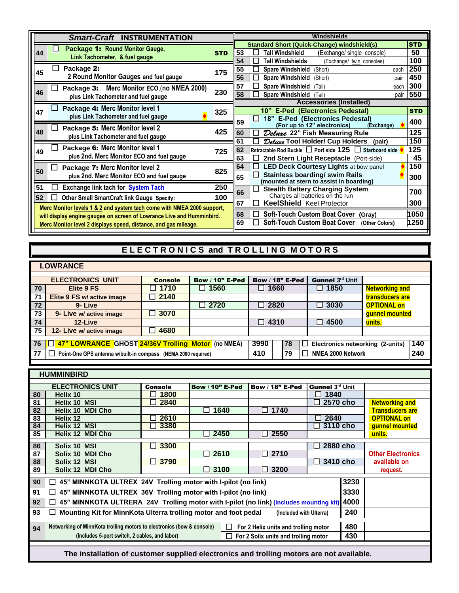| <b>Smart-Craft INSTRUMENTATION</b>                                                                                                              | Windshields |                                                                                                |            |  |  |
|-------------------------------------------------------------------------------------------------------------------------------------------------|-------------|------------------------------------------------------------------------------------------------|------------|--|--|
| Package 1: Round Monitor Gauge,                                                                                                                 |             | <b>Standard Short (Quick-Change) windshield(s)</b><br><b>STD</b>                               |            |  |  |
| 44<br>Link Tachometer, & fuel gauge                                                                                                             | <b>STD</b>  | 53<br>Tall Windshield<br>(Exchange/ single console)                                            | 50         |  |  |
|                                                                                                                                                 |             | 54<br>Tall Windshields<br>(Exchange/ twin consoles)                                            | 100        |  |  |
| Package 2:<br>45                                                                                                                                | 175         | 55<br><b>Spare Windshield</b><br>(Short)<br>each                                               | 250        |  |  |
| 2 Round Monitor Gauges and fuel gauge                                                                                                           |             | 56<br><b>Spare Windshield</b><br>(Short)<br>pair                                               | 450        |  |  |
| Merc Monitor ECO, (no NMEA 2000)<br>Package 3:                                                                                                  |             | 57<br><b>Spare Windshield</b><br>(Tall)<br>each                                                | 300        |  |  |
| 46<br>plus Link Tachometer and fuel gauge                                                                                                       | 230         | 58<br><b>Spare Windshield</b><br>(Tall)<br>pair                                                | 550        |  |  |
|                                                                                                                                                 |             | <b>Accessories (Installed)</b>                                                                 |            |  |  |
| Package 4: Merc Monitor level 1<br>47                                                                                                           | 325         | 10" E-Ped (Electronics Pedestal)                                                               | <b>STD</b> |  |  |
| plus Link Tachometer and fuel gauge                                                                                                             |             | 18" E-Ped (Electronics Pedestal)<br>$\mathbf{I}$<br>59                                         | 400        |  |  |
| Package 5: Merc Monitor level 2                                                                                                                 | 425         | (For up to 12" electronics)<br>(Exchange)                                                      |            |  |  |
| 48<br>plus Link Tachometer and fuel gauge                                                                                                       |             | 60<br>Deluxe 22" Fish Measuring Rule                                                           | 125        |  |  |
| Package 6: Merc Monitor level 1                                                                                                                 |             | 61<br>Deluxe Tool Holder/ Cup Holders<br>(pair)                                                | 150        |  |  |
| 49<br>plus 2nd. Merc Monitor ECO and fuel gauge                                                                                                 | 725         | 62<br>Retractable Rod Buckle $\Box$ Port side 125<br><b>Starboard side</b><br>$\mathbf{L}$     | 125        |  |  |
|                                                                                                                                                 |             | 63<br>2nd Stern Light Receptacle (Port-side)                                                   | 45         |  |  |
| Package 7: Merc Monitor level 2<br>50                                                                                                           | 825         | 64<br><b>LED Deck Courtesy Lights at bow panel</b>                                             | 150        |  |  |
| plus 2nd. Merc Monitor ECO and fuel gauge                                                                                                       |             | <b>Stainless boarding/ swim Rails</b><br>l I<br>65<br>(mounted at stern to assist in boarding) | 300        |  |  |
| 51<br><b>Exchange link tach for System Tach</b>                                                                                                 | 250         | $\mathsf{I}$                                                                                   |            |  |  |
| 52<br><b>Other Small SmartCraft link Gauge Specify:</b>                                                                                         | 100         | Stealth Battery Charging System<br>Charges all batteries on the run<br>66                      | 700        |  |  |
| Merc Monitor levels 1 & 2 and system tach come with NMEA 2000 support,<br>will display engine gauges on screen of Lowrance Live and Humminbird. |             | 67<br><b>KeelShield Keel Protector</b>                                                         | 300        |  |  |
|                                                                                                                                                 |             | <b>Soft-Touch Custom Boat Cover</b><br>68<br>(Gray)                                            | 1050       |  |  |
|                                                                                                                                                 |             | <b>Soft-Touch Custom Boat Cover</b><br>69<br>(Other Colors)                                    | 1250       |  |  |
| Merc Monitor level 2 displays speed, distance, and gas mileage.                                                                                 |             |                                                                                                |            |  |  |

## **ELECTRONICS and TROLLING MOTORS**

|                                                                                         | <b>LOWRANCE</b>                                                                                        |                |                        |                   |                      |                       |  |
|-----------------------------------------------------------------------------------------|--------------------------------------------------------------------------------------------------------|----------------|------------------------|-------------------|----------------------|-----------------------|--|
|                                                                                         | <b>ELECTRONICS UNIT</b>                                                                                | <b>Console</b> | <b>Bow / 10" E-Ped</b> | Bow / $18"$ E-Ped | Gunnel 3rd Unit      |                       |  |
| 70                                                                                      | Elite 9 FS                                                                                             | $\Box$ 1710    | 1560                   | $\square$ 1660    | $\Box$ 1850          | <b>Networking and</b> |  |
| 71                                                                                      | Elite 9 FS w/ active image                                                                             | $\sqrt{2140}$  |                        |                   |                      | transducers are       |  |
| 72                                                                                      | 9-Live                                                                                                 |                | 2720                   | $\Box$ 2820       | 3030<br>$\mathsf{L}$ | <b>OPTIONAL on</b>    |  |
| 73                                                                                      | 9- Live w/ active image                                                                                | $\Box$ 3070    |                        |                   |                      | gunnel mounted        |  |
| 74                                                                                      | 12-Live                                                                                                |                |                        | $\Box$ 4310       | 4500<br>l 1          | units.                |  |
| 75                                                                                      | 12- Live w/ active image                                                                               | 4680           |                        |                   |                      |                       |  |
| 140<br><b>TE 47" LOWRANCE GHOST 24/36V Trolling Motor</b> (no NMEA)<br>3990<br>76<br>78 |                                                                                                        |                |                        |                   |                      |                       |  |
| Electronics networking (2-units)                                                        |                                                                                                        |                |                        |                   |                      |                       |  |
| 77                                                                                      | 240<br>410<br>NMEA 2000 Network<br>79<br>Point-One GPS antenna w/built-in compass (NEMA 2000 required) |                |                        |                   |                      |                       |  |
|                                                                                         |                                                                                                        |                |                        |                   |                      |                       |  |

|                                                                                                                                  | <b>HUMMINBIRD</b>                                                                                   |                |                        |                        |                            |      |                          |
|----------------------------------------------------------------------------------------------------------------------------------|-----------------------------------------------------------------------------------------------------|----------------|------------------------|------------------------|----------------------------|------|--------------------------|
|                                                                                                                                  |                                                                                                     |                |                        |                        |                            |      |                          |
|                                                                                                                                  | <b>ELECTRONICS UNIT</b>                                                                             | <b>Console</b> | <b>Bow / 10" E-Ped</b> | <b>Bow / 18" E-Ped</b> | Gunnel 3rd Unit            |      |                          |
| 80                                                                                                                               | Helix 10                                                                                            | 1800           |                        |                        | 1840<br>ΙI                 |      |                          |
| 81                                                                                                                               | Helix 10 MSI                                                                                        | 2840           |                        |                        | 2570 cho<br>$\blacksquare$ |      | <b>Networking and</b>    |
| 82                                                                                                                               | Helix 10 MDI Cho                                                                                    |                | 1640<br>$\mathsf{L}$   | $\Box$ 1740            |                            |      | <b>Transducers are</b>   |
| 83                                                                                                                               | Helix 12                                                                                            | 2610           |                        |                        | 2640                       |      | <b>OPTIONAL on</b>       |
| 84                                                                                                                               | Helix 12 MSI                                                                                        | 3380           |                        |                        | $\square$ 3110 cho         |      | gunnel mounted           |
| 85                                                                                                                               | Helix 12 MDI Cho                                                                                    |                | 2450                   | 2550                   |                            |      | units.                   |
|                                                                                                                                  |                                                                                                     |                |                        |                        |                            |      |                          |
| 86                                                                                                                               | Solix 10 MSI                                                                                        | 3300           |                        |                        | 2880 cho<br>$\mathbf{I}$   |      |                          |
| 87                                                                                                                               | Solix 10 MDI Cho                                                                                    |                | $\square$ 2610         | $\Box$ 2710            |                            |      | <b>Other Electronics</b> |
| 88                                                                                                                               | Solix 12 MSI                                                                                        | 3790           |                        |                        | 3410 cho<br>$\mathbf{I}$   |      | available on             |
| 89                                                                                                                               | Solix 12 MDI Cho                                                                                    |                | $\Box$ 3100            | 3200                   |                            |      | request.                 |
|                                                                                                                                  |                                                                                                     |                |                        |                        |                            |      |                          |
| 90                                                                                                                               | 45" MINNKOTA ULTREX 24V Trolling motor with I-pilot (no link)<br>$\Box$                             |                |                        |                        |                            | 3230 |                          |
| 91                                                                                                                               | 45" MINNKOTA ULTREX 36V Trolling motor with I-pilot (no link)<br>$\Box$                             |                |                        |                        |                            | 3330 |                          |
| 92                                                                                                                               | 4000<br>45" MINNKOTA ULTRERA 24V Trolling motor with I-pilot (no link) (includes mounting kit)<br>П |                |                        |                        |                            |      |                          |
| 93                                                                                                                               | Mounting Kit for MinnKota Ulterra trolling motor and foot pedal<br>240<br>(Included with Ulterra)   |                |                        |                        |                            |      |                          |
|                                                                                                                                  |                                                                                                     |                |                        |                        |                            |      |                          |
| Networking of MinnKota trolling motors to electronics (bow & console)<br>480<br>For 2 Helix units and trolling motor<br>ΙI<br>94 |                                                                                                     |                |                        |                        |                            |      |                          |
|                                                                                                                                  | (Includes 5-port switch, 2 cables, and labor)<br>430<br>For 2 Solix units and trolling motor        |                |                        |                        |                            |      |                          |
|                                                                                                                                  |                                                                                                     |                |                        |                        |                            |      |                          |
|                                                                                                                                  | The installation of customer supplied electronics and trolling motors are not available.            |                |                        |                        |                            |      |                          |

ı